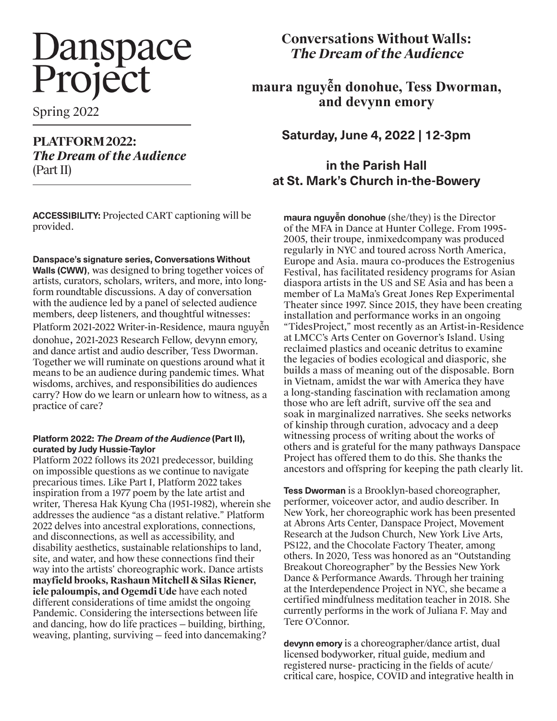# Danspace<br>Project

Spring 2022

### **PLATFORM 2022:**  *The Dream of the Audience* (Part II)

**ACCESSIBILITY:** Projected CART captioning will be provided.

**Danspace's signature series, Conversations Without** 

**Walls (CWW)**, was designed to bring together voices of artists, curators, scholars, writers, and more, into longform roundtable discussions. A day of conversation with the audience led by a panel of selected audience members, deep listeners, and thoughtful witnesses: Platform 2021-2022 Writer-in-Residence, maura nguyễn donohue, 2021-2023 Research Fellow, devynn emory, and dance artist and audio describer, Tess Dworman. Together we will ruminate on questions around what it means to be an audience during pandemic times. What wisdoms, archives, and responsibilities do audiences carry? How do we learn or unlearn how to witness, as a practice of care?

#### **Platform 2022: The Dream of the Audience (Part II), curated by Judy Hussie-Taylor**

Platform 2022 follows its 2021 predecessor, building on impossible questions as we continue to navigate precarious times. Like Part I, Platform 2022 takes inspiration from a 1977 poem by the late artist and writer, Theresa Hak Kyung Cha (1951-1982), wherein she addresses the audience "as a distant relative." Platform 2022 delves into ancestral explorations, connections, and disconnections, as well as accessibility, and disability aesthetics, sustainable relationships to land, site, and water, and how these connections find their way into the artists' choreographic work. Dance artists **mayfield brooks, Rashaun Mitchell & Silas Riener, iele paloumpis, and Ogemdi Ude** have each noted different considerations of time amidst the ongoing Pandemic. Considering the intersections between life and dancing, how do life practices — building, birthing, weaving, planting, surviving — feed into dancemaking?

# **Conversations Without Walls: The Dream of the Audience**

**maura nguyễn donohue, Tess Dworman, and devynn emory**

**Saturday, June 4, 2022 | 12-3pm**

## **in the Parish Hall at St. Mark's Church in-the-Bowery**

**maura nguyễn donohue** (she/they) is the Director of the MFA in Dance at Hunter College. From 1995- 2005, their troupe, inmixedcompany was produced regularly in NYC and toured across North America, Europe and Asia. maura co-produces the Estrogenius Festival, has facilitated residency programs for Asian diaspora artists in the US and SE Asia and has been a member of La MaMa's Great Jones Rep Experimental Theater since 1997. Since 2015, they have been creating installation and performance works in an ongoing "TidesProject," most recently as an Artist-in-Residence at LMCC's Arts Center on Governor's Island. Using reclaimed plastics and oceanic detritus to examine the legacies of bodies ecological and diasporic, she builds a mass of meaning out of the disposable. Born in Vietnam, amidst the war with America they have a long-standing fascination with reclamation among those who are left adrift, survive off the sea and soak in marginalized narratives. She seeks networks of kinship through curation, advocacy and a deep witnessing process of writing about the works of others and is grateful for the many pathways Danspace Project has offered them to do this. She thanks the ancestors and offspring for keeping the path clearly lit.

**Tess Dworman** is a Brooklyn-based choreographer, performer, voiceover actor, and audio describer. In New York, her choreographic work has been presented at Abrons Arts Center, Danspace Project, Movement Research at the Judson Church, New York Live Arts, PS122, and the Chocolate Factory Theater, among others. In 2020, Tess was honored as an "Outstanding Breakout Choreographer" by the Bessies New York Dance & Performance Awards. Through her training at the Interdependence Project in NYC, she became a certified mindfulness meditation teacher in 2018. She currently performs in the work of Juliana F. May and Tere O'Connor.

**devynn emory** is a choreographer/dance artist, dual licensed bodyworker, ritual guide, medium and registered nurse- practicing in the fields of acute/ critical care, hospice, COVID and integrative health in